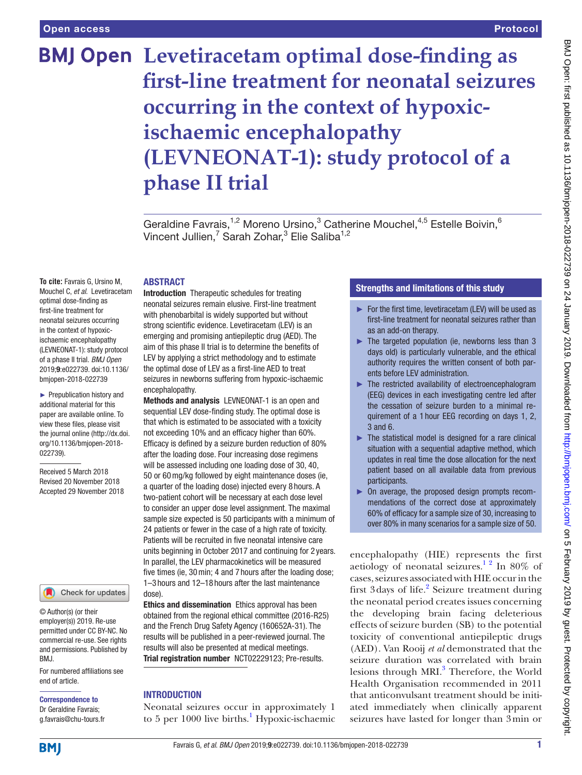# **BMJ Open** Levetiracetam optimal dose-finding as **first-line treatment for neonatal seizures occurring in the context of hypoxicischaemic encephalopathy (LEVNEONAT-1): study protocol of a phase II trial**

Geraldine Favrais,<sup>1,2</sup> Moreno Ursino,<sup>3</sup> Catherine Mouchel,<sup>4,5</sup> Estelle Boivin,<sup>6</sup> Vincent Jullien,<sup>7</sup> Sarah Zohar,<sup>3</sup> Elie Saliba<sup>1,2</sup>

### **ABSTRACT**

**To cite:** Favrais G, Ursino M, Mouchel C, *et al*. Levetiracetam optimal dose-finding as first-line treatment for neonatal seizures occurring in the context of hypoxicischaemic encephalopathy (LEVNEONAT-1): study protocol of a phase II trial. *BMJ Open* 2019;9:e022739. doi:10.1136/ bmjopen-2018-022739

► Prepublication history and additional material for this paper are available online. To view these files, please visit the journal online [\(http://dx.doi.](http://dx.doi.org/10.1136/bmjopen-2018-022739) [org/10.1136/bmjopen-2018-](http://dx.doi.org/10.1136/bmjopen-2018-022739) [022739\)](http://dx.doi.org/10.1136/bmjopen-2018-022739).

Received 5 March 2018 Revised 20 November 2018 Accepted 29 November 2018



© Author(s) (or their employer(s)) 2019. Re-use permitted under CC BY-NC. No commercial re-use. See rights and permissions. Published by BMJ.

For numbered affiliations see end of article.

#### Correspondence to Dr Geraldine Favrais;

g.favrais@chu-tours.fr

Introduction Therapeutic schedules for treating neonatal seizures remain elusive. First-line treatment with phenobarbital is widely supported but without strong scientific evidence. Levetiracetam (LEV) is an emerging and promising antiepileptic drug (AED). The aim of this phase II trial is to determine the benefits of LEV by applying a strict methodology and to estimate the optimal dose of LEV as a first-line AED to treat seizures in newborns suffering from hypoxic-ischaemic encephalopathy.

Methods and analysis LEVNEONAT-1 is an open and sequential LEV dose-finding study. The optimal dose is that which is estimated to be associated with a toxicity not exceeding 10% and an efficacy higher than 60%. Efficacy is defined by a seizure burden reduction of 80% after the loading dose. Four increasing dose regimens will be assessed including one loading dose of 30, 40, 50 or 60mg/kg followed by eight maintenance doses (ie, a quarter of the loading dose) injected every 8 hours. A two-patient cohort will be necessary at each dose level to consider an upper dose level assignment. The maximal sample size expected is 50 participants with a minimum of 24 patients or fewer in the case of a high rate of toxicity. Patients will be recruited in five neonatal intensive care units beginning in October 2017 and continuing for 2 years. In parallel, the LEV pharmacokinetics will be measured five times (ie, 30min; 4 and 7 hours after the loading dose; 1–3 hours and 12–18 hours after the last maintenance dose).

Ethics and dissemination Ethics approval has been obtained from the regional ethical committee (2016-R25) and the French Drug Safety Agency (160652A-31). The results will be published in a peer-reviewed journal. The results will also be presented at medical meetings. Trial registration number <NCT02229123>; Pre-results.

## **INTRODUCTION**

Neonatal seizures occur in approximately 1 to 5 per 1000 live births.<sup>1</sup> Hypoxic-ischaemic

# Strengths and limitations of this study

- ► For the first time, levetiracetam (LEV) will be used as first-line treatment for neonatal seizures rather than as an add-on therapy.
- ► The targeted population (ie, newborns less than 3 days old) is particularly vulnerable, and the ethical authority requires the written consent of both parents before LEV administration.
- ► The restricted availability of electroencephalogram (EEG) devices in each investigating centre led after the cessation of seizure burden to a minimal requirement of a 1 hour EEG recording on days 1, 2, 3 and 6.
- ► The statistical model is designed for a rare clinical situation with a sequential adaptive method, which updates in real time the dose allocation for the next patient based on all available data from previous participants.
- ► On average, the proposed design prompts recommendations of the correct dose at approximately 60% of efficacy for a sample size of 30, increasing to over 80% in many scenarios for a sample size of 50.

encephalopathy (HIE) represents the first aetiology of neonatal seizures.<sup>12</sup> In 80% of cases, seizures associated with HIE occur in the first 3 days of life.<sup>[2](#page-8-1)</sup> Seizure treatment during the neonatal period creates issues concerning the developing brain facing deleterious effects of seizure burden (SB) to the potential toxicity of conventional antiepileptic drugs (AED). Van Rooij *et al* demonstrated that the seizure duration was correlated with brain lesions through MRI.<sup>3</sup> Therefore, the World Health Organisation recommended in 2011 that anticonvulsant treatment should be initiated immediately when clinically apparent seizures have lasted for longer than 3min or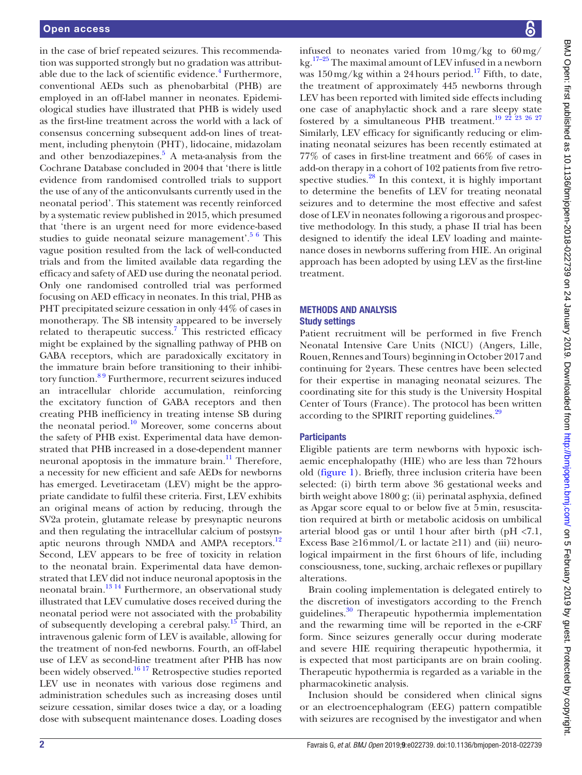in the case of brief repeated seizures. This recommendation was supported strongly but no gradation was attributable due to the lack of scientific evidence.<sup>4</sup> Furthermore, conventional AEDs such as phenobarbital (PHB) are employed in an off-label manner in neonates. Epidemiological studies have illustrated that PHB is widely used as the first-line treatment across the world with a lack of consensus concerning subsequent add-on lines of treatment, including phenytoin (PHT), lidocaine, midazolam and other benzodiazepines. $5$  A meta-analysis from the Cochrane Database concluded in 2004 that 'there is little evidence from randomised controlled trials to support the use of any of the anticonvulsants currently used in the neonatal period'. This statement was recently reinforced by a systematic review published in 2015, which presumed that 'there is an urgent need for more evidence-based studies to guide neonatal seizure management'.<sup>[5 6](#page-8-4)</sup> This vague position resulted from the lack of well-conducted trials and from the limited available data regarding the efficacy and safety of AED use during the neonatal period. Only one randomised controlled trial was performed focusing on AED efficacy in neonates. In this trial, PHB as PHT precipitated seizure cessation in only 44% of cases in monotherapy. The SB intensity appeared to be inversely related to therapeutic success.<sup>[7](#page-8-5)</sup> This restricted efficacy might be explained by the signalling pathway of PHB on GABA receptors, which are paradoxically excitatory in the immature brain before transitioning to their inhibitory function.[8 9](#page-8-6) Furthermore, recurrent seizures induced an intracellular chloride accumulation, reinforcing the excitatory function of GABA receptors and then creating PHB inefficiency in treating intense SB during the neonatal period. $10^{10}$  Moreover, some concerns about the safety of PHB exist. Experimental data have demonstrated that PHB increased in a dose-dependent manner neuronal apoptosis in the immature brain. $\frac{11}{11}$  Therefore, a necessity for new efficient and safe AEDs for newborns has emerged. Levetiracetam (LEV) might be the appropriate candidate to fulfil these criteria. First, LEV exhibits an original means of action by reducing, through the SV2a protein, glutamate release by presynaptic neurons and then regulating the intracellular calcium of postsyn-aptic neurons through NMDA and AMPA receptors.<sup>[12](#page-8-9)</sup> Second, LEV appears to be free of toxicity in relation to the neonatal brain. Experimental data have demonstrated that LEV did not induce neuronal apoptosis in the neonatal brain.[13 14](#page-8-10) Furthermore, an observational study illustrated that LEV cumulative doses received during the neonatal period were not associated with the probability of subsequently developing a cerebral palsy.<sup>15</sup> Third, an intravenous galenic form of LEV is available, allowing for the treatment of non-fed newborns. Fourth, an off-label use of LEV as second-line treatment after PHB has now been widely observed.[16 17](#page-9-1) Retrospective studies reported LEV use in neonates with various dose regimens and administration schedules such as increasing doses until seizure cessation, similar doses twice a day, or a loading dose with subsequent maintenance doses. Loading doses

infused to neonates varied from  $10 \,\text{mg/kg}$  to  $60 \,\text{mg/s}$  $kg<sup>17-25</sup>$  The maximal amount of LEV infused in a newborn was  $150 \,\mathrm{mg/kg}$  within a 24 hours period.<sup>17</sup> Fifth, to date, the treatment of approximately 445 newborns through LEV has been reported with limited side effects including one case of anaphylactic shock and a rare sleepy state fostered by a simultaneous PHB treatment.<sup>19 22</sup> <sup>23</sup> <sup>26</sup> <sup>27</sup> Similarly, LEV efficacy for significantly reducing or eliminating neonatal seizures has been recently estimated at 77% of cases in first-line treatment and 66% of cases in add-on therapy in a cohort of 102 patients from five retro-spective studies.<sup>[28](#page-9-4)</sup> In this context, it is highly important to determine the benefits of LEV for treating neonatal seizures and to determine the most effective and safest dose of LEV in neonates following a rigorous and prospective methodology. In this study, a phase II trial has been designed to identify the ideal LEV loading and maintenance doses in newborns suffering from HIE. An original approach has been adopted by using LEV as the first-line treatment.

## Methods and analysis Study settings

Patient recruitment will be performed in five French Neonatal Intensive Care Units (NICU) (Angers, Lille, Rouen, Rennes and Tours) beginning in October 2017 and continuing for 2years. These centres have been selected for their expertise in managing neonatal seizures. The coordinating site for this study is the University Hospital Center of Tours (France). The protocol has been written according to the SPIRIT reporting guidelines.<sup>[29](#page-9-5)</sup>

# **Participants**

Eligible patients are term newborns with hypoxic ischaemic encephalopathy (HIE) who are less than 72hours old ([figure](#page-2-0) 1). Briefly, three inclusion criteria have been selected: (i) birth term above 36 gestational weeks and birth weight above 1800 g; (ii) perinatal asphyxia, defined as Apgar score equal to or below five at 5min, resuscitation required at birth or metabolic acidosis on umbilical arterial blood gas or until 1 hour after birth ( $pH < 7.1$ , Excess Base  $\geq 16$ mmol/L or lactate  $\geq 11$ ) and (iii) neurological impairment in the first 6hours of life, including consciousness, tone, sucking, archaic reflexes or pupillary alterations.

Brain cooling implementation is delegated entirely to the discretion of investigators according to the French guidelines.<sup>30</sup> Therapeutic hypothermia implementation and the rewarming time will be reported in the e-CRF form. Since seizures generally occur during moderate and severe HIE requiring therapeutic hypothermia, it is expected that most participants are on brain cooling. Therapeutic hypothermia is regarded as a variable in the pharmacokinetic analysis.

Inclusion should be considered when clinical signs or an electroencephalogram (EEG) pattern compatible with seizures are recognised by the investigator and when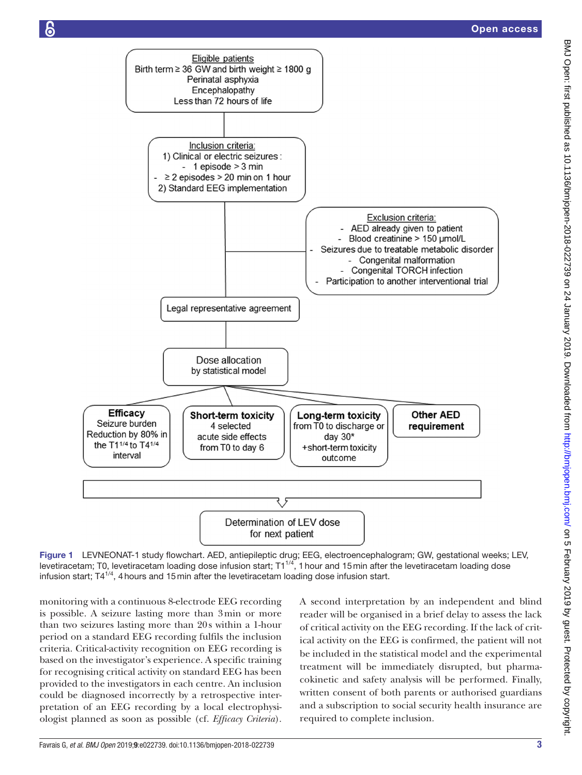

<span id="page-2-0"></span>Figure 1 LEVNEONAT-1 study flowchart. AED, antiepileptic drug; EEG, electroencephalogram; GW, gestational weeks; LEV, levetiracetam; T0, levetiracetam loading dose infusion start; T11/4, 1hour and 15min after the levetiracetam loading dose infusion start;  $T4^{1/4}$ , 4 hours and 15 min after the levetiracetam loading dose infusion start.

monitoring with a continuous 8-electrode EEG recording is possible. A seizure lasting more than 3min or more than two seizures lasting more than 20s within a 1-hour period on a standard EEG recording fulfils the inclusion criteria. Critical-activity recognition on EEG recording is based on the investigator's experience. A specific training for recognising critical activity on standard EEG has been provided to the investigators in each centre. An inclusion could be diagnosed incorrectly by a retrospective interpretation of an EEG recording by a local electrophysiologist planned as soon as possible (cf. *Efficacy Criteria*).

A second interpretation by an independent and blind reader will be organised in a brief delay to assess the lack of critical activity on the EEG recording. If the lack of critical activity on the EEG is confirmed, the patient will not be included in the statistical model and the experimental treatment will be immediately disrupted, but pharmacokinetic and safety analysis will be performed. Finally, written consent of both parents or authorised guardians and a subscription to social security health insurance are required to complete inclusion.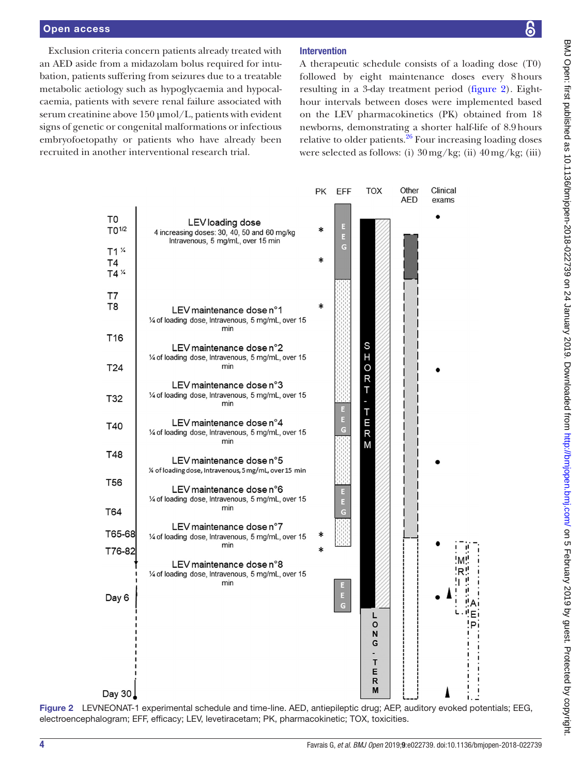#### Open access

န္တ

Exclusion criteria concern patients already treated with an AED aside from a midazolam bolus required for intubation, patients suffering from seizures due to a treatable metabolic aetiology such as hypoglycaemia and hypocalcaemia, patients with severe renal failure associated with serum creatinine above 150 µmol/L, patients with evident signs of genetic or congenital malformations or infectious embryofoetopathy or patients who have already been recruited in another interventional research trial.

## Intervention

A therapeutic schedule consists of a loading dose (T0) followed by eight maintenance doses every 8hours resulting in a 3-day treatment period ([figure](#page-3-0) 2). Eighthour intervals between doses were implemented based on the LEV pharmacokinetics (PK) obtained from 18 newborns, demonstrating a shorter half-life of 8.9hours relative to older patients. $^{26}$  Four increasing loading doses were selected as follows: (i) 30mg/kg; (ii) 40mg/kg; (iii)



<span id="page-3-0"></span>Figure 2 LEVNEONAT-1 experimental schedule and time-line. AED, antiepileptic drug; AEP, auditory evoked potentials; EEG, electroencephalogram; EFF, efficacy; LEV, levetiracetam; PK, pharmacokinetic; TOX, toxicities.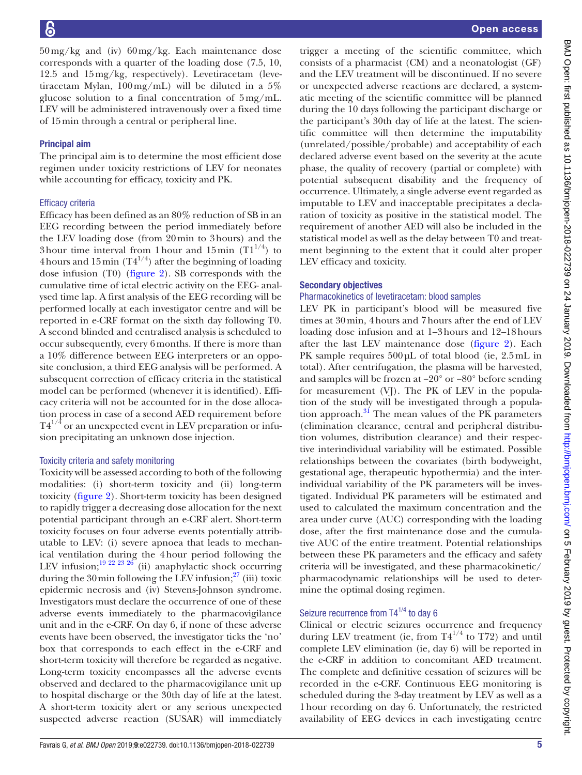50mg/kg and (iv) 60mg/kg. Each maintenance dose corresponds with a quarter of the loading dose (7.5, 10, 12.5 and 15mg/kg, respectively). Levetiracetam (levetiracetam Mylan, 100mg/mL) will be diluted in a 5% glucose solution to a final concentration of 5mg/mL. LEV will be administered intravenously over a fixed time of 15min through a central or peripheral line.

## Principal aim

The principal aim is to determine the most efficient dose regimen under toxicity restrictions of LEV for neonates while accounting for efficacy, toxicity and PK.

### Efficacy criteria

Efficacy has been defined as an 80% reduction of SB in an EEG recording between the period immediately before the LEV loading dose (from 20min to 3hours) and the 3 hour time interval from 1 hour and 15 min  $(T1^{1/4})$  to 4 hours and 15 min  $(T4^{1/4})$  after the beginning of loading dose infusion (T0) ([figure](#page-3-0) 2). SB corresponds with the cumulative time of ictal electric activity on the EEG- analysed time lap. A first analysis of the EEG recording will be performed locally at each investigator centre and will be reported in e-CRF format on the sixth day following T0. A second blinded and centralised analysis is scheduled to occur subsequently, every 6months. If there is more than a 10% difference between EEG interpreters or an opposite conclusion, a third EEG analysis will be performed. A subsequent correction of efficacy criteria in the statistical model can be performed (whenever it is identified). Efficacy criteria will not be accounted for in the dose allocation process in case of a second AED requirement before  $T4^{1/4}$  or an unexpected event in LEV preparation or infusion precipitating an unknown dose injection.

### Toxicity criteria and safety monitoring

Toxicity will be assessed according to both of the following modalities: (i) short-term toxicity and (ii) long-term toxicity [\(figure](#page-3-0) 2). Short-term toxicity has been designed to rapidly trigger a decreasing dose allocation for the next potential participant through an e-CRF alert. Short-term toxicity focuses on four adverse events potentially attributable to LEV: (i) severe apnoea that leads to mechanical ventilation during the 4hour period following the LEV infusion;<sup>19 22 23 26</sup> (ii) anaphylactic shock occurring during the 30 min following the LEV infusion; $^{27}$  (iii) toxic epidermic necrosis and (iv) Stevens-Johnson syndrome. Investigators must declare the occurrence of one of these adverse events immediately to the pharmacovigilance unit and in the e-CRF. On day 6, if none of these adverse events have been observed, the investigator ticks the 'no' box that corresponds to each effect in the e-CRF and short-term toxicity will therefore be regarded as negative. Long-term toxicity encompasses all the adverse events observed and declared to the pharmacovigilance unit up to hospital discharge or the 30th day of life at the latest. A short-term toxicity alert or any serious unexpected suspected adverse reaction (SUSAR) will immediately

trigger a meeting of the scientific committee, which consists of a pharmacist (CM) and a neonatologist (GF) and the LEV treatment will be discontinued. If no severe or unexpected adverse reactions are declared, a systematic meeting of the scientific committee will be planned during the 10 days following the participant discharge or the participant's 30th day of life at the latest. The scientific committee will then determine the imputability (unrelated/possible/probable) and acceptability of each declared adverse event based on the severity at the acute phase, the quality of recovery (partial or complete) with potential subsequent disability and the frequency of occurrence. Ultimately, a single adverse event regarded as imputable to LEV and inacceptable precipitates a declaration of toxicity as positive in the statistical model. The requirement of another AED will also be included in the statistical model as well as the delay between T0 and treatment beginning to the extent that it could alter proper LEV efficacy and toxicity.

### Secondary objectives

### Pharmacokinetics of levetiracetam: blood samples

LEV PK in participant's blood will be measured five times at 30min, 4hours and 7hours after the end of LEV loading dose infusion and at 1–3hours and 12–18hours after the last LEV maintenance dose [\(figure](#page-3-0) 2). Each PK sample requires  $500 \mu L$  of total blood (ie, 2.5mL in total). After centrifugation, the plasma will be harvested, and samples will be frozen at −20° or −80° before sending for measurement (VJ). The PK of LEV in the population of the study will be investigated through a population approach. $31$  The mean values of the PK parameters (elimination clearance, central and peripheral distribution volumes, distribution clearance) and their respective interindividual variability will be estimated. Possible relationships between the covariates (birth bodyweight, gestational age, therapeutic hypothermia) and the interindividual variability of the PK parameters will be investigated. Individual PK parameters will be estimated and used to calculated the maximum concentration and the area under curve (AUC) corresponding with the loading dose, after the first maintenance dose and the cumulative AUC of the entire treatment. Potential relationships between these PK parameters and the efficacy and safety criteria will be investigated, and these pharmacokinetic/ pharmacodynamic relationships will be used to determine the optimal dosing regimen.

# Seizure recurrence from T4<sup>1/4</sup> to day 6

Clinical or electric seizures occurrence and frequency during LEV treatment (ie, from  $T4^{1/4}$  to T72) and until complete LEV elimination (ie, day 6) will be reported in the e-CRF in addition to concomitant AED treatment. The complete and definitive cessation of seizures will be recorded in the e-CRF. Continuous EEG monitoring is scheduled during the 3-day treatment by LEV as well as a 1hour recording on day 6. Unfortunately, the restricted availability of EEG devices in each investigating centre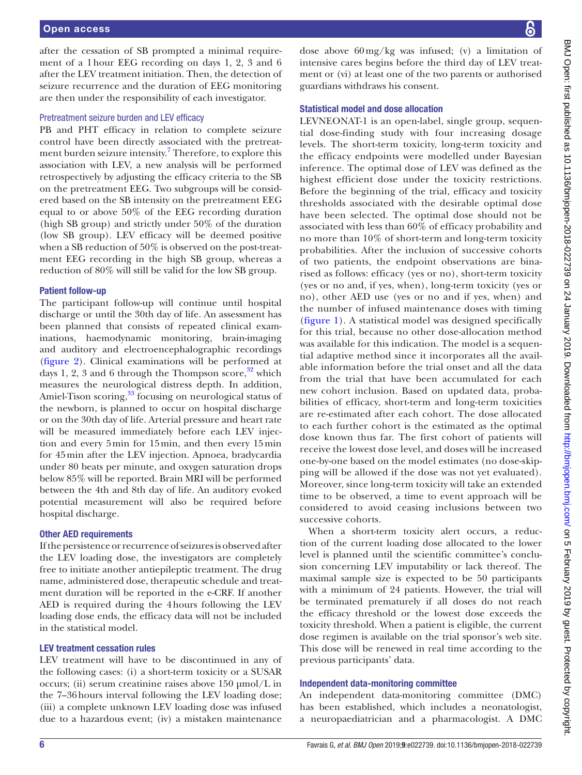after the cessation of SB prompted a minimal requirement of a 1hour EEG recording on days 1, 2, 3 and 6 after the LEV treatment initiation. Then, the detection of seizure recurrence and the duration of EEG monitoring are then under the responsibility of each investigator.

## Pretreatment seizure burden and LEV efficacy

PB and PHT efficacy in relation to complete seizure control have been directly associated with the pretreatment burden seizure intensity.<sup>7</sup> Therefore, to explore this association with LEV, a new analysis will be performed retrospectively by adjusting the efficacy criteria to the SB on the pretreatment EEG. Two subgroups will be considered based on the SB intensity on the pretreatment EEG equal to or above 50% of the EEG recording duration (high SB group) and strictly under 50% of the duration (low SB group). LEV efficacy will be deemed positive when a SB reduction of 50% is observed on the post-treatment EEG recording in the high SB group, whereas a reduction of 80% will still be valid for the low SB group.

### Patient follow-up

The participant follow-up will continue until hospital discharge or until the 30th day of life. An assessment has been planned that consists of repeated clinical examinations, haemodynamic monitoring, brain-imaging and auditory and electroencephalographic recordings ([figure](#page-3-0) 2). Clinical examinations will be performed at days 1, 2, 3 and 6 through the Thompson score, $32$  which measures the neurological distress depth. In addition, Amiel-Tison scoring,<sup>[33](#page-9-11)</sup> focusing on neurological status of the newborn, is planned to occur on hospital discharge or on the 30th day of life. Arterial pressure and heart rate will be measured immediately before each LEV injection and every 5min for 15min, and then every 15min for 45min after the LEV injection. Apnoea, bradycardia under 80 beats per minute, and oxygen saturation drops below 85% will be reported. Brain MRI will be performed between the 4th and 8th day of life. An auditory evoked potential measurement will also be required before hospital discharge.

### Other AED requirements

If the persistence or recurrence of seizures is observed after the LEV loading dose, the investigators are completely free to initiate another antiepileptic treatment. The drug name, administered dose, therapeutic schedule and treatment duration will be reported in the e-CRF. If another AED is required during the 4hours following the LEV loading dose ends, the efficacy data will not be included in the statistical model.

#### LEV treatment cessation rules

LEV treatment will have to be discontinued in any of the following cases: (i) a short-term toxicity or a SUSAR occurs; (ii) serum creatinine raises above 150 µmol/L in the 7–36hours interval following the LEV loading dose; (iii) a complete unknown LEV loading dose was infused due to a hazardous event; (iv) a mistaken maintenance

dose above 60mg/kg was infused; (v) a limitation of intensive cares begins before the third day of LEV treatment or (vi) at least one of the two parents or authorised guardians withdraws his consent.

## Statistical model and dose allocation

LEVNEONAT-1 is an open-label, single group, sequential dose-finding study with four increasing dosage levels. The short-term toxicity, long-term toxicity and the efficacy endpoints were modelled under Bayesian inference. The optimal dose of LEV was defined as the highest efficient dose under the toxicity restrictions. Before the beginning of the trial, efficacy and toxicity thresholds associated with the desirable optimal dose have been selected. The optimal dose should not be associated with less than 60% of efficacy probability and no more than 10% of short-term and long-term toxicity probabilities. After the inclusion of successive cohorts of two patients, the endpoint observations are binarised as follows: efficacy (yes or no), short-term toxicity (yes or no and, if yes, when), long-term toxicity (yes or no), other AED use (yes or no and if yes, when) and the number of infused maintenance doses with timing [\(figure](#page-2-0) 1). A statistical model was designed specifically for this trial, because no other dose-allocation method was available for this indication. The model is a sequential adaptive method since it incorporates all the available information before the trial onset and all the data from the trial that have been accumulated for each new cohort inclusion. Based on updated data, probabilities of efficacy, short-term and long-term toxicities are re-estimated after each cohort. The dose allocated to each further cohort is the estimated as the optimal dose known thus far. The first cohort of patients will receive the lowest dose level, and doses will be increased one-by-one based on the model estimates (no dose-skipping will be allowed if the dose was not yet evaluated). Moreover, since long-term toxicity will take an extended time to be observed, a time to event approach will be considered to avoid ceasing inclusions between two successive cohorts.

When a short-term toxicity alert occurs, a reduction of the current loading dose allocated to the lower level is planned until the scientific committee's conclusion concerning LEV imputability or lack thereof. The maximal sample size is expected to be 50 participants with a minimum of 24 patients. However, the trial will be terminated prematurely if all doses do not reach the efficacy threshold or the lowest dose exceeds the toxicity threshold. When a patient is eligible, the current dose regimen is available on the trial sponsor's web site. This dose will be renewed in real time according to the previous participants' data.

### Independent data-monitoring committee

An independent data-monitoring committee (DMC) has been established, which includes a neonatologist, a neuropaediatrician and a pharmacologist. A DMC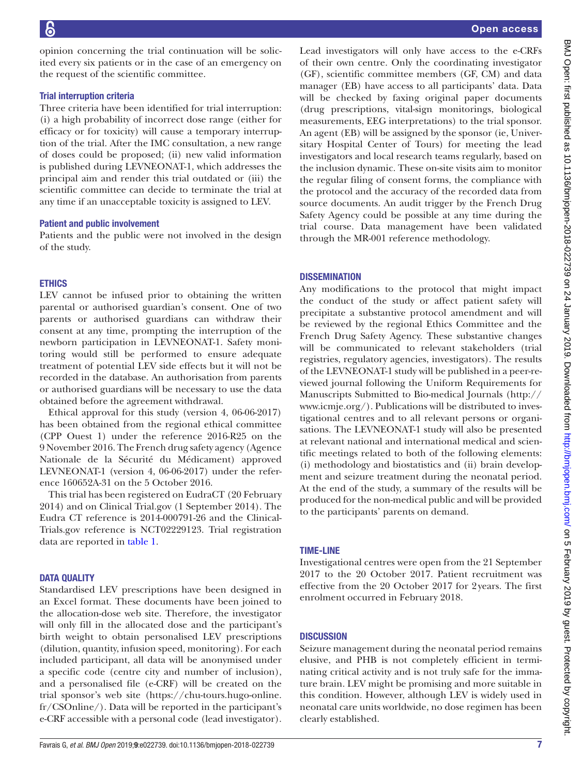opinion concerning the trial continuation will be solicited every six patients or in the case of an emergency on the request of the scientific committee.

## Trial interruption criteria

Three criteria have been identified for trial interruption: (i) a high probability of incorrect dose range (either for efficacy or for toxicity) will cause a temporary interruption of the trial. After the IMC consultation, a new range of doses could be proposed; (ii) new valid information is published during LEVNEONAT-1, which addresses the principal aim and render this trial outdated or (iii) the scientific committee can decide to terminate the trial at any time if an unacceptable toxicity is assigned to LEV.

### Patient and public involvement

Patients and the public were not involved in the design of the study.

## **ETHICS**

LEV cannot be infused prior to obtaining the written parental or authorised guardian's consent. One of two parents or authorised guardians can withdraw their consent at any time, prompting the interruption of the newborn participation in LEVNEONAT-1. Safety monitoring would still be performed to ensure adequate treatment of potential LEV side effects but it will not be recorded in the database. An authorisation from parents or authorised guardians will be necessary to use the data obtained before the agreement withdrawal.

Ethical approval for this study (version 4, 06-06-2017) has been obtained from the regional ethical committee (CPP Ouest 1) under the reference 2016-R25 on the 9 November 2016. The French drug safety agency (Agence Nationale de la Sécurité du Médicament) approved LEVNEONAT-1 (version 4, 06-06-2017) under the reference 160652A-31 on the 5 October 2016.

This trial has been registered on EudraCT (20 February 2014) and on Clinical Trial.gov (1 September 2014). The Eudra CT reference is 2014-000791-26 and the Clinical-Trials.gov reference is NCT02229123. Trial registration data are reported in [table](#page-7-0) 1.

## **DATA QUALITY**

Standardised LEV prescriptions have been designed in an Excel format. These documents have been joined to the allocation-dose web site. Therefore, the investigator will only fill in the allocated dose and the participant's birth weight to obtain personalised LEV prescriptions (dilution, quantity, infusion speed, monitoring). For each included participant, all data will be anonymised under a specific code (centre city and number of inclusion), and a personalised file (e-CRF) will be created on the trial sponsor's web site ([https://chu-tours.hugo-online.](https://chu-tours.hugo-online.fr/CSOnline/) [fr/CSOnline/](https://chu-tours.hugo-online.fr/CSOnline/)). Data will be reported in the participant's e-CRF accessible with a personal code (lead investigator).

Lead investigators will only have access to the e-CRFs of their own centre. Only the coordinating investigator (GF), scientific committee members (GF, CM) and data manager (EB) have access to all participants' data. Data will be checked by faxing original paper documents (drug prescriptions, vital-sign monitorings, biological measurements, EEG interpretations) to the trial sponsor. An agent (EB) will be assigned by the sponsor (ie, Universitary Hospital Center of Tours) for meeting the lead investigators and local research teams regularly, based on the inclusion dynamic. These on-site visits aim to monitor the regular filing of consent forms, the compliance with the protocol and the accuracy of the recorded data from source documents. An audit trigger by the French Drug Safety Agency could be possible at any time during the trial course. Data management have been validated through the MR-001 reference methodology.

## **DISSEMINATION**

Any modifications to the protocol that might impact the conduct of the study or affect patient safety will precipitate a substantive protocol amendment and will be reviewed by the regional Ethics Committee and the French Drug Safety Agency. These substantive changes will be communicated to relevant stakeholders (trial registries, regulatory agencies, investigators). The results of the LEVNEONAT-1 study will be published in a peer-reviewed journal following the Uniform Requirements for Manuscripts Submitted to Bio-medical Journals [\(http://](http://www.icmje.org/) [www.icmje.org/\)](http://www.icmje.org/). Publications will be distributed to investigational centres and to all relevant persons or organisations. The LEVNEONAT-1 study will also be presented at relevant national and international medical and scientific meetings related to both of the following elements: (i) methodology and biostatistics and (ii) brain development and seizure treatment during the neonatal period. At the end of the study, a summary of the results will be produced for the non-medical public and will be provided to the participants' parents on demand.

## Time-line

Investigational centres were open from the 21 September 2017 to the 20 October 2017. Patient recruitment was effective from the 20 October 2017 for 2years. The first enrolment occurred in February 2018.

### **DISCUSSION**

Seizure management during the neonatal period remains elusive, and PHB is not completely efficient in terminating critical activity and is not truly safe for the immature brain. LEV might be promising and more suitable in this condition. However, although LEV is widely used in neonatal care units worldwide, no dose regimen has been clearly established.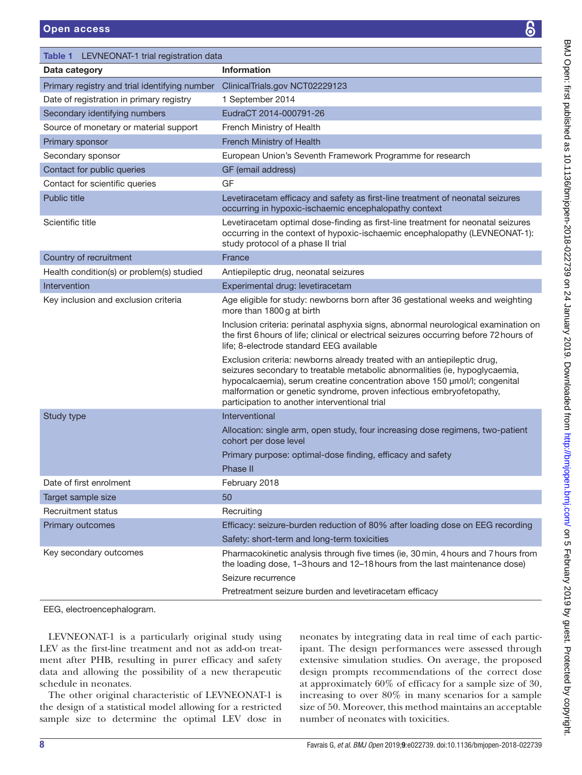<span id="page-7-0"></span>

| Table 1 LEVNEONAT-1 trial registration data   |                                                                                                                                                                                                                                                                                                                                                               |
|-----------------------------------------------|---------------------------------------------------------------------------------------------------------------------------------------------------------------------------------------------------------------------------------------------------------------------------------------------------------------------------------------------------------------|
| Data category                                 | <b>Information</b>                                                                                                                                                                                                                                                                                                                                            |
| Primary registry and trial identifying number | ClinicalTrials.gov NCT02229123                                                                                                                                                                                                                                                                                                                                |
| Date of registration in primary registry      | 1 September 2014                                                                                                                                                                                                                                                                                                                                              |
| Secondary identifying numbers                 | EudraCT 2014-000791-26                                                                                                                                                                                                                                                                                                                                        |
| Source of monetary or material support        | French Ministry of Health                                                                                                                                                                                                                                                                                                                                     |
| Primary sponsor                               | French Ministry of Health                                                                                                                                                                                                                                                                                                                                     |
| Secondary sponsor                             | European Union's Seventh Framework Programme for research                                                                                                                                                                                                                                                                                                     |
| Contact for public queries                    | GF (email address)                                                                                                                                                                                                                                                                                                                                            |
| Contact for scientific queries                | GF                                                                                                                                                                                                                                                                                                                                                            |
| <b>Public title</b>                           | Levetiracetam efficacy and safety as first-line treatment of neonatal seizures<br>occurring in hypoxic-ischaemic encephalopathy context                                                                                                                                                                                                                       |
| Scientific title                              | Levetiracetam optimal dose-finding as first-line treatment for neonatal seizures<br>occurring in the context of hypoxic-ischaemic encephalopathy (LEVNEONAT-1):<br>study protocol of a phase II trial                                                                                                                                                         |
| Country of recruitment                        | France                                                                                                                                                                                                                                                                                                                                                        |
| Health condition(s) or problem(s) studied     | Antiepileptic drug, neonatal seizures                                                                                                                                                                                                                                                                                                                         |
| Intervention                                  | Experimental drug: levetiracetam                                                                                                                                                                                                                                                                                                                              |
| Key inclusion and exclusion criteria          | Age eligible for study: newborns born after 36 gestational weeks and weighting<br>more than 1800g at birth                                                                                                                                                                                                                                                    |
|                                               | Inclusion criteria: perinatal asphyxia signs, abnormal neurological examination on<br>the first 6 hours of life; clinical or electrical seizures occurring before 72 hours of<br>life; 8-electrode standard EEG available                                                                                                                                     |
|                                               | Exclusion criteria: newborns already treated with an antiepileptic drug,<br>seizures secondary to treatable metabolic abnormalities (ie, hypoglycaemia,<br>hypocalcaemia), serum creatine concentration above 150 µmol/l; congenital<br>malformation or genetic syndrome, proven infectious embryofetopathy,<br>participation to another interventional trial |
| Study type                                    | Interventional                                                                                                                                                                                                                                                                                                                                                |
|                                               | Allocation: single arm, open study, four increasing dose regimens, two-patient<br>cohort per dose level                                                                                                                                                                                                                                                       |
|                                               | Primary purpose: optimal-dose finding, efficacy and safety                                                                                                                                                                                                                                                                                                    |
|                                               | Phase II                                                                                                                                                                                                                                                                                                                                                      |
| Date of first enrolment                       | February 2018                                                                                                                                                                                                                                                                                                                                                 |
| Target sample size                            | 50                                                                                                                                                                                                                                                                                                                                                            |
| <b>Recruitment status</b>                     | Recruiting                                                                                                                                                                                                                                                                                                                                                    |
| Primary outcomes                              | Efficacy: seizure-burden reduction of 80% after loading dose on EEG recording                                                                                                                                                                                                                                                                                 |
|                                               | Safety: short-term and long-term toxicities                                                                                                                                                                                                                                                                                                                   |
| Key secondary outcomes                        | Pharmacokinetic analysis through five times (ie, 30 min, 4 hours and 7 hours from<br>the loading dose, 1-3 hours and 12-18 hours from the last maintenance dose)                                                                                                                                                                                              |
|                                               | Seizure recurrence                                                                                                                                                                                                                                                                                                                                            |
|                                               | Pretreatment seizure burden and levetiracetam efficacy                                                                                                                                                                                                                                                                                                        |
| EEG, electroencephalogram.                    |                                                                                                                                                                                                                                                                                                                                                               |

LEVNEONAT-1 is a particularly original study using LEV as the first-line treatment and not as add-on treatment after PHB, resulting in purer efficacy and safety data and allowing the possibility of a new therapeutic schedule in neonates.

The other original characteristic of LEVNEONAT-1 is the design of a statistical model allowing for a restricted sample size to determine the optimal LEV dose in

neonates by integrating data in real time of each participant. The design performances were assessed through extensive simulation studies. On average, the proposed design prompts recommendations of the correct dose at approximately 60% of efficacy for a sample size of 30, increasing to over 80% in many scenarios for a sample size of 50. Moreover, this method maintains an acceptable number of neonates with toxicities.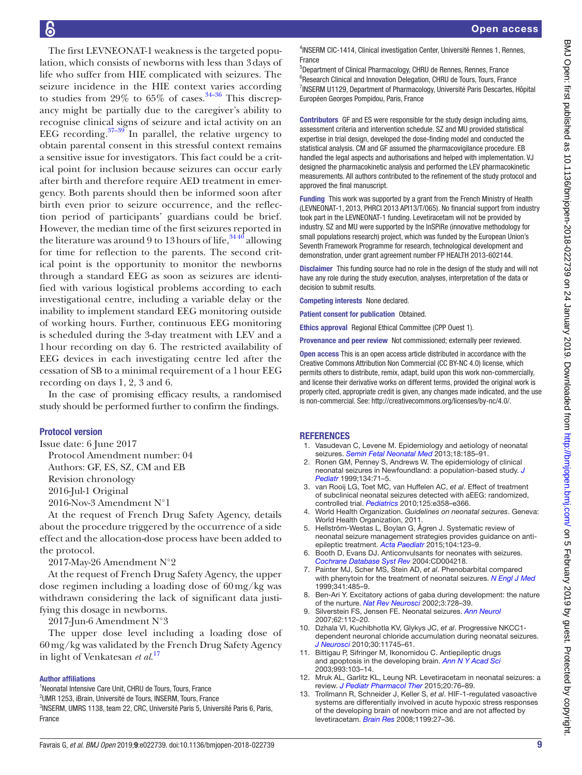The first LEVNEONAT-1 weakness is the targeted population, which consists of newborns with less than 3days of life who suffer from HIE complicated with seizures. The seizure incidence in the HIE context varies according to studies from 29% to 65% of cases.<sup>[34–36](#page-9-12)</sup> This discrepancy might be partially due to the caregiver's ability to recognise clinical signs of seizure and ictal activity on an EEG recording. $37-39$  In parallel, the relative urgency to obtain parental consent in this stressful context remains a sensitive issue for investigators. This fact could be a critical point for inclusion because seizures can occur early after birth and therefore require AED treatment in emergency. Both parents should then be informed soon after birth even prior to seizure occurrence, and the reflection period of participants' guardians could be brief. However, the median time of the first seizures reported in the literature was around 9 to 13 hours of life,  $34\frac{40}{10}$  allowing for time for reflection to the parents. The second critical point is the opportunity to monitor the newborns through a standard EEG as soon as seizures are identified with various logistical problems according to each investigational centre, including a variable delay or the inability to implement standard EEG monitoring outside of working hours. Further, continuous EEG monitoring is scheduled during the 3-day treatment with LEV and a 1hour recording on day 6. The restricted availability of EEG devices in each investigating centre led after the cessation of SB to a minimal requirement of a 1hour EEG recording on days 1, 2, 3 and 6.

In the case of promising efficacy results, a randomised study should be performed further to confirm the findings.

## Protocol version

Issue date: 6 June 2017

Protocol Amendment number: 04

Authors: GF, ES, SZ, CM and EB

Revision chronology

2016-Jul-1 Original

2016-Nov-3 Amendment N°1

At the request of French Drug Safety Agency, details about the procedure triggered by the occurrence of a side effect and the allocation-dose process have been added to the protocol.

2017-May-26 Amendment N°2

At the request of French Drug Safety Agency, the upper dose regimen including a loading dose of 60mg/kg was withdrawn considering the lack of significant data justifying this dosage in newborns.

2017-Jun-6 Amendment N°3

The upper dose level including a loading dose of 60mg/kg was validated by the French Drug Safety Agency in light of Venkatesan *et al*. [17](#page-9-2)

#### Author affiliations

<sup>1</sup>Neonatal Intensive Care Unit, CHRU de Tours, Tours, France

<sup>2</sup>UMR 1253, iBrain, Université de Tours, INSERM, Tours, France

3 INSERM, UMRS 1138, team 22, CRC, Université Paris 5, Université Paris 6, Paris, France

4 INSERM CIC-1414, Clinical investigation Center, Université Rennes 1, Rennes, France

5 Department of Clinical Pharmacology, CHRU de Rennes, Rennes, France <sup>6</sup>Research Clinical and Innovation Delegation, CHRU de Tours, Tours, France <sup>7</sup>INSERM U1129, Department of Pharmacology, Université Paris Descartes, Hôpital Européen Georges Pompidou, Paris, France

Contributors GF and ES were responsible for the study design including aims, assessment criteria and intervention schedule. SZ and MU provided statistical expertise in trial design, developed the dose-finding model and conducted the statistical analysis. CM and GF assumed the pharmacovigilance procedure. EB handled the legal aspects and authorisations and helped with implementation. VJ designed the pharmacokinetic analysis and performed the LEV pharmacokinetic measurements. All authors contributed to the refinement of the study protocol and approved the final manuscript.

Funding This work was supported by a grant from the French Ministry of Health (LEVNEONAT-1, 2013, PHRCI 2013 API13/T/065). No financial support from industry took part in the LEVNEONAT-1 funding. Levetiracetam will not be provided by industry. SZ and MU were supported by the InSPiRe (innovative methodology for small populations research) project, which was funded by the European Union's Seventh Framework Programme for research, technological development and demonstration, under grant agreement number FP HEALTH 2013-602144.

Disclaimer This funding source had no role in the design of the study and will not have any role during the study execution, analyses, interpretation of the data or decision to submit results.

Competing interests None declared.

Patient consent for publication Obtained.

Ethics approval Regional Ethical Committee (CPP Ouest 1).

Provenance and peer review Not commissioned; externally peer reviewed.

Open access This is an open access article distributed in accordance with the Creative Commons Attribution Non Commercial (CC BY-NC 4.0) license, which permits others to distribute, remix, adapt, build upon this work non-commercially, and license their derivative works on different terms, provided the original work is properly cited, appropriate credit is given, any changes made indicated, and the use is non-commercial. See: [http://creativecommons.org/licenses/by-nc/4.0/.](http://creativecommons.org/licenses/by-nc/4.0/)

#### **REFERENCES**

- <span id="page-8-0"></span>1. Vasudevan C, Levene M. Epidemiology and aetiology of neonatal seizures. *[Semin Fetal Neonatal Med](http://dx.doi.org/10.1016/j.siny.2013.05.008)* 2013;18:185–91.
- <span id="page-8-1"></span>2. Ronen GM, Penney S, Andrews W. The epidemiology of clinical neonatal seizures in Newfoundland: a population-based study. *[J](http://dx.doi.org/10.1016/S0022-3476(99)70374-4)  [Pediatr](http://dx.doi.org/10.1016/S0022-3476(99)70374-4)* 1999;134:71–5.
- <span id="page-8-2"></span>3. van Rooij LG, Toet MC, van Huffelen AC, *et al*. Effect of treatment of subclinical neonatal seizures detected with aEEG: randomized, controlled trial. *[Pediatrics](http://dx.doi.org/10.1542/peds.2009-0136)* 2010;125:e358–e366.
- <span id="page-8-3"></span>4. World Health Organization. *Guidelines on neonatal seizures*. Geneva: World Health Organization, 2011.
- <span id="page-8-4"></span>5. Hellström-Westas L, Boylan G, Ågren J. Systematic review of neonatal seizure management strategies provides guidance on antiepileptic treatment. *[Acta Paediatr](http://dx.doi.org/10.1111/apa.12812)* 2015;104:123–9.
- 6. Booth D, Evans DJ. Anticonvulsants for neonates with seizures. *[Cochrane Database Syst Rev](http://dx.doi.org/10.1002/14651858.CD004218.pub2)* 2004:CD004218.
- <span id="page-8-5"></span>7. Painter MJ, Scher MS, Stein AD, *et al*. Phenobarbital compared with phenytoin for the treatment of neonatal seizures. *[N Engl J Med](http://dx.doi.org/10.1056/NEJM199908123410704)* 1999;341:485–9.
- <span id="page-8-6"></span>8. Ben-Ari Y. Excitatory actions of gaba during development: the nature of the nurture. *[Nat Rev Neurosci](http://dx.doi.org/10.1038/nrn920)* 2002;3:728–39.
- 9. Silverstein FS, Jensen FE. Neonatal seizures. *[Ann Neurol](http://dx.doi.org/10.1002/ana.21167)* 2007;62:112–20.
- <span id="page-8-7"></span>10. Dzhala VI, Kuchibhotla KV, Glykys JC, *et al*. Progressive NKCC1 dependent neuronal chloride accumulation during neonatal seizures. *[J Neurosci](http://dx.doi.org/10.1523/JNEUROSCI.1769-10.2010)* 2010;30:11745–61.
- <span id="page-8-8"></span>11. Bittigau P, Sifringer M, Ikonomidou C. Antiepileptic drugs and apoptosis in the developing brain. *[Ann N Y Acad Sci](http://dx.doi.org/10.1111/j.1749-6632.2003.tb07517.x)* 2003;993:103–14.
- <span id="page-8-9"></span>12. Mruk AL, Garlitz KL, Leung NR. Levetiracetam in neonatal seizures: a review. *[J Pediatr Pharmacol Ther](http://dx.doi.org/10.5863/1551-6776-20.2.76)* 2015;20:76–89.
- <span id="page-8-10"></span>13. Trollmann R, Schneider J, Keller S, *et al*. HIF-1-regulated vasoactive systems are differentially involved in acute hypoxic stress responses of the developing brain of newborn mice and are not affected by levetiracetam. *[Brain Res](http://dx.doi.org/10.1016/j.brainres.2007.12.069)* 2008;1199:27–36.